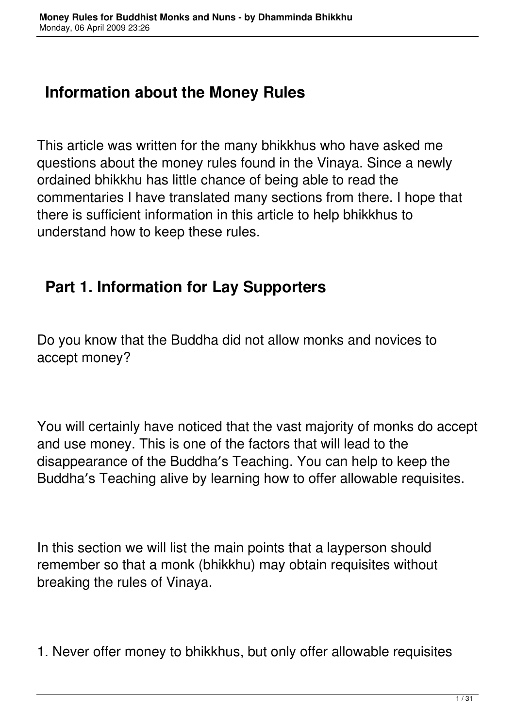### **Information about the Money Rules**

This article was written for the many bhikkhus who have asked me questions about the money rules found in the Vinaya. Since a newly ordained bhikkhu has little chance of being able to read the commentaries I have translated many sections from there. I hope that there is sufficient information in this article to help bhikkhus to understand how to keep these rules.

## **Part 1. Information for Lay Supporters**

Do you know that the Buddha did not allow monks and novices to accept money?

You will certainly have noticed that the vast majority of monks do accept and use money. This is one of the factors that will lead to the disappearance of the Buddha′s Teaching. You can help to keep the Buddha′s Teaching alive by learning how to offer allowable requisites.

In this section we will list the main points that a layperson should remember so that a monk (bhikkhu) may obtain requisites without breaking the rules of Vinaya.

1. Never offer money to bhikkhus, but only offer allowable requisites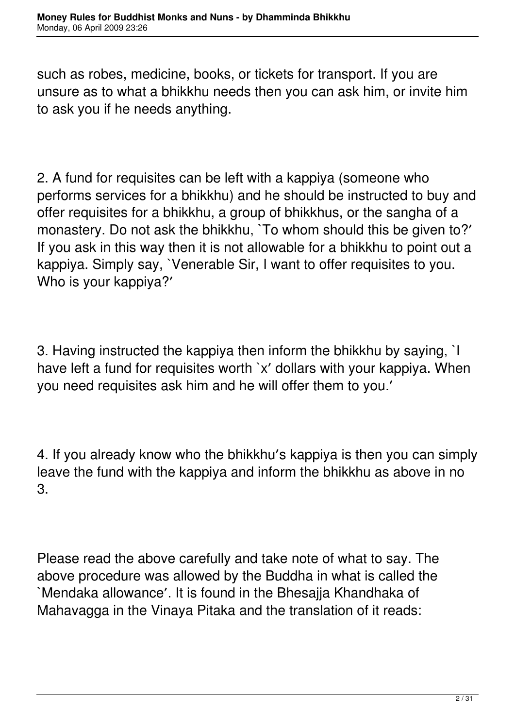such as robes, medicine, books, or tickets for transport. If you are unsure as to what a bhikkhu needs then you can ask him, or invite him to ask you if he needs anything.

2. A fund for requisites can be left with a kappiya (someone who performs services for a bhikkhu) and he should be instructed to buy and offer requisites for a bhikkhu, a group of bhikkhus, or the sangha of a monastery. Do not ask the bhikkhu, `To whom should this be given to?' If you ask in this way then it is not allowable for a bhikkhu to point out a kappiya. Simply say, `Venerable Sir, I want to offer requisites to you. Who is your kappiya?′

3. Having instructed the kappiya then inform the bhikkhu by saying, `I have left a fund for requisites worth `x′ dollars with your kappiya. When you need requisites ask him and he will offer them to you.′

4. If you already know who the bhikkhu′s kappiya is then you can simply leave the fund with the kappiya and inform the bhikkhu as above in no 3.

Please read the above carefully and take note of what to say. The above procedure was allowed by the Buddha in what is called the `Mendaka allowance′. It is found in the Bhesajja Khandhaka of Mahavagga in the Vinaya Pitaka and the translation of it reads: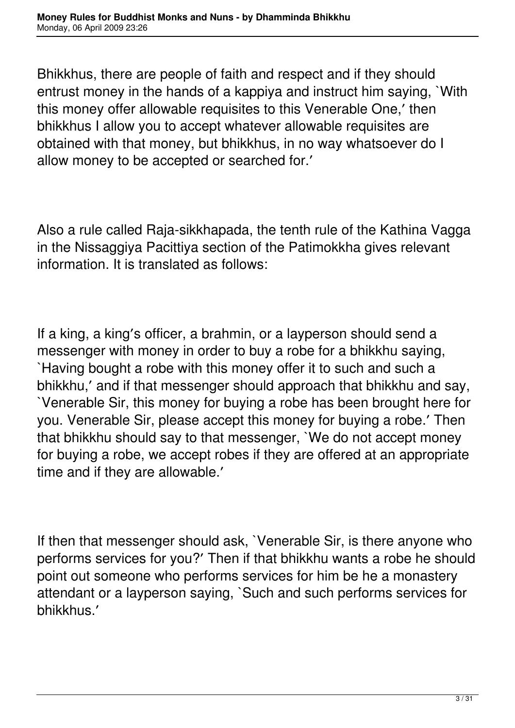Bhikkhus, there are people of faith and respect and if they should entrust money in the hands of a kappiya and instruct him saying, `With this money offer allowable requisites to this Venerable One,′ then bhikkhus I allow you to accept whatever allowable requisites are obtained with that money, but bhikkhus, in no way whatsoever do I allow money to be accepted or searched for.′

Also a rule called Raja-sikkhapada, the tenth rule of the Kathina Vagga in the Nissaggiya Pacittiya section of the Patimokkha gives relevant information. It is translated as follows:

If a king, a king′s officer, a brahmin, or a layperson should send a messenger with money in order to buy a robe for a bhikkhu saying, `Having bought a robe with this money offer it to such and such a bhikkhu,′ and if that messenger should approach that bhikkhu and say, `Venerable Sir, this money for buying a robe has been brought here for you. Venerable Sir, please accept this money for buying a robe.′ Then that bhikkhu should say to that messenger, `We do not accept money for buying a robe, we accept robes if they are offered at an appropriate time and if they are allowable.′

If then that messenger should ask, `Venerable Sir, is there anyone who performs services for you?′ Then if that bhikkhu wants a robe he should point out someone who performs services for him be he a monastery attendant or a layperson saying, `Such and such performs services for bhikkhus.′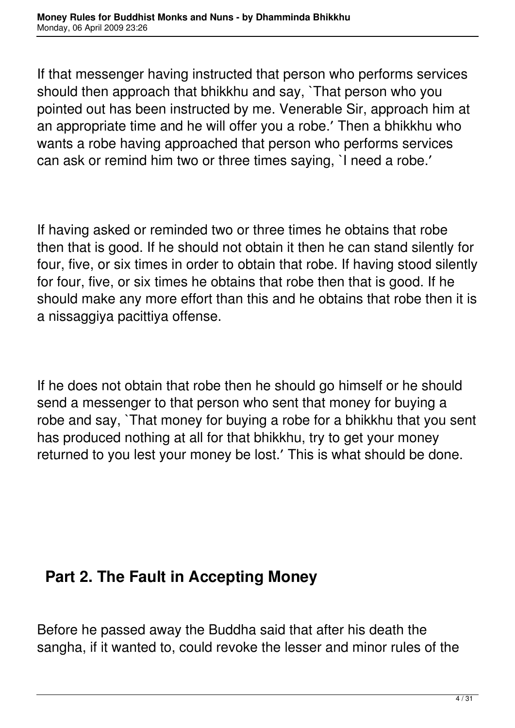If that messenger having instructed that person who performs services should then approach that bhikkhu and say, `That person who you pointed out has been instructed by me. Venerable Sir, approach him at an appropriate time and he will offer you a robe.′ Then a bhikkhu who wants a robe having approached that person who performs services can ask or remind him two or three times saying, `I need a robe.′

If having asked or reminded two or three times he obtains that robe then that is good. If he should not obtain it then he can stand silently for four, five, or six times in order to obtain that robe. If having stood silently for four, five, or six times he obtains that robe then that is good. If he should make any more effort than this and he obtains that robe then it is a nissaggiya pacittiya offense.

If he does not obtain that robe then he should go himself or he should send a messenger to that person who sent that money for buying a robe and say, `That money for buying a robe for a bhikkhu that you sent has produced nothing at all for that bhikkhu, try to get your money returned to you lest your money be lost.′ This is what should be done.

### **Part 2. The Fault in Accepting Money**

Before he passed away the Buddha said that after his death the sangha, if it wanted to, could revoke the lesser and minor rules of the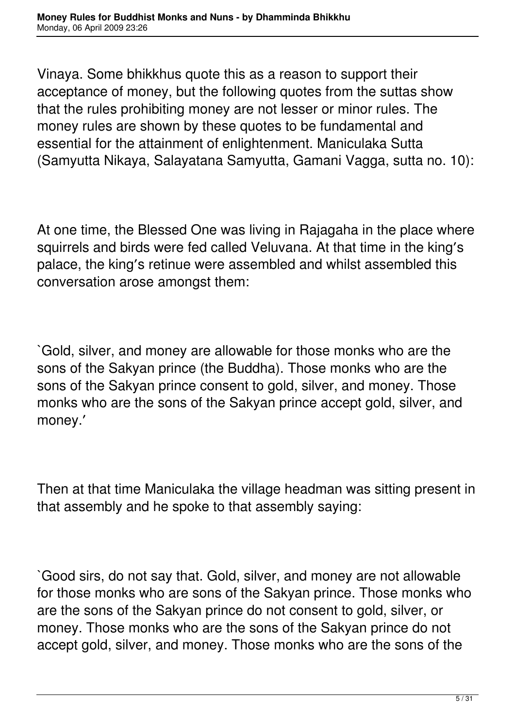Vinaya. Some bhikkhus quote this as a reason to support their acceptance of money, but the following quotes from the suttas show that the rules prohibiting money are not lesser or minor rules. The money rules are shown by these quotes to be fundamental and essential for the attainment of enlightenment. Maniculaka Sutta (Samyutta Nikaya, Salayatana Samyutta, Gamani Vagga, sutta no. 10):

At one time, the Blessed One was living in Rajagaha in the place where squirrels and birds were fed called Veluvana. At that time in the king′s palace, the king′s retinue were assembled and whilst assembled this conversation arose amongst them:

`Gold, silver, and money are allowable for those monks who are the sons of the Sakyan prince (the Buddha). Those monks who are the sons of the Sakyan prince consent to gold, silver, and money. Those monks who are the sons of the Sakyan prince accept gold, silver, and money.′

Then at that time Maniculaka the village headman was sitting present in that assembly and he spoke to that assembly saying:

`Good sirs, do not say that. Gold, silver, and money are not allowable for those monks who are sons of the Sakyan prince. Those monks who are the sons of the Sakyan prince do not consent to gold, silver, or money. Those monks who are the sons of the Sakyan prince do not accept gold, silver, and money. Those monks who are the sons of the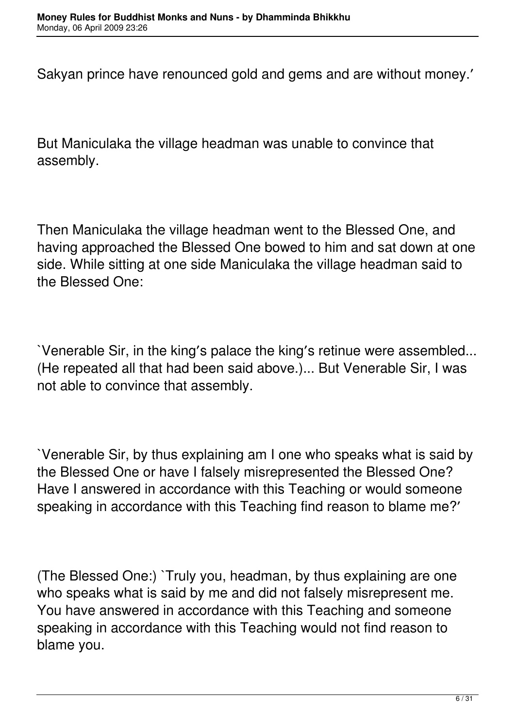Sakyan prince have renounced gold and gems and are without money.′

But Maniculaka the village headman was unable to convince that assembly.

Then Maniculaka the village headman went to the Blessed One, and having approached the Blessed One bowed to him and sat down at one side. While sitting at one side Maniculaka the village headman said to the Blessed One:

`Venerable Sir, in the king′s palace the king′s retinue were assembled... (He repeated all that had been said above.)... But Venerable Sir, I was not able to convince that assembly.

`Venerable Sir, by thus explaining am I one who speaks what is said by the Blessed One or have I falsely misrepresented the Blessed One? Have I answered in accordance with this Teaching or would someone speaking in accordance with this Teaching find reason to blame me?′

(The Blessed One:) `Truly you, headman, by thus explaining are one who speaks what is said by me and did not falsely misrepresent me. You have answered in accordance with this Teaching and someone speaking in accordance with this Teaching would not find reason to blame you.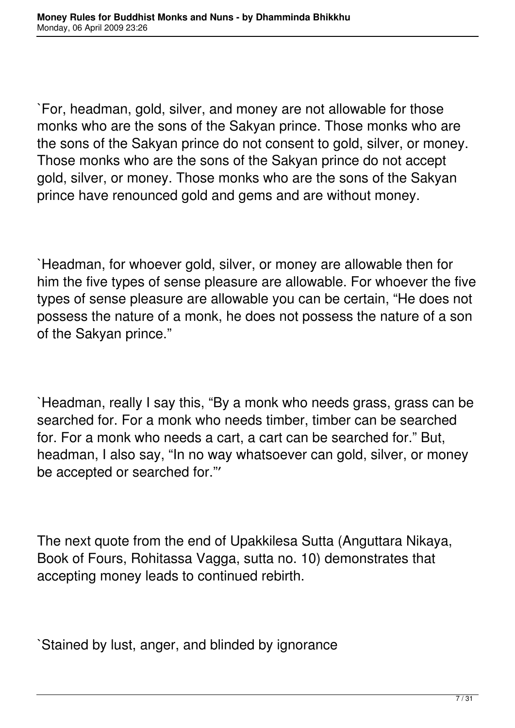`For, headman, gold, silver, and money are not allowable for those monks who are the sons of the Sakyan prince. Those monks who are the sons of the Sakyan prince do not consent to gold, silver, or money. Those monks who are the sons of the Sakyan prince do not accept gold, silver, or money. Those monks who are the sons of the Sakyan prince have renounced gold and gems and are without money.

`Headman, for whoever gold, silver, or money are allowable then for him the five types of sense pleasure are allowable. For whoever the five types of sense pleasure are allowable you can be certain, "He does not possess the nature of a monk, he does not possess the nature of a son of the Sakyan prince."

`Headman, really I say this, "By a monk who needs grass, grass can be searched for. For a monk who needs timber, timber can be searched for. For a monk who needs a cart, a cart can be searched for." But, headman, I also say, "In no way whatsoever can gold, silver, or money be accepted or searched for."′

The next quote from the end of Upakkilesa Sutta (Anguttara Nikaya, Book of Fours, Rohitassa Vagga, sutta no. 10) demonstrates that accepting money leads to continued rebirth.

`Stained by lust, anger, and blinded by ignorance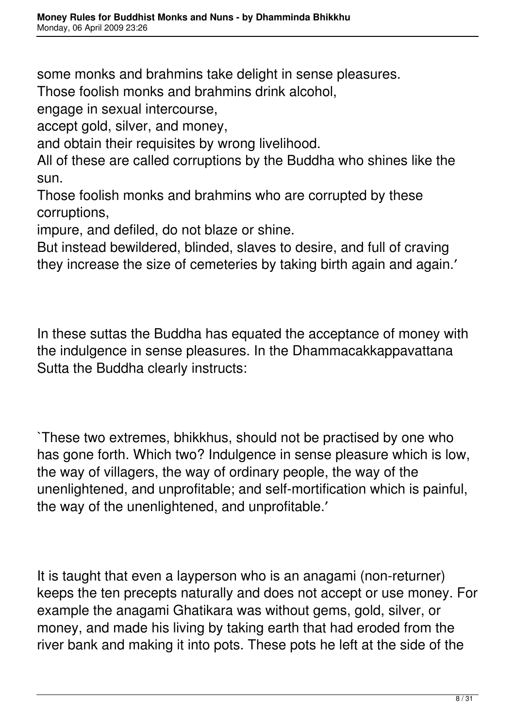some monks and brahmins take delight in sense pleasures.

Those foolish monks and brahmins drink alcohol,

engage in sexual intercourse,

accept gold, silver, and money,

and obtain their requisites by wrong livelihood.

All of these are called corruptions by the Buddha who shines like the sun.

Those foolish monks and brahmins who are corrupted by these corruptions,

impure, and defiled, do not blaze or shine.

But instead bewildered, blinded, slaves to desire, and full of craving they increase the size of cemeteries by taking birth again and again.′

In these suttas the Buddha has equated the acceptance of money with the indulgence in sense pleasures. In the Dhammacakkappavattana Sutta the Buddha clearly instructs:

`These two extremes, bhikkhus, should not be practised by one who has gone forth. Which two? Indulgence in sense pleasure which is low, the way of villagers, the way of ordinary people, the way of the unenlightened, and unprofitable; and self-mortification which is painful, the way of the unenlightened, and unprofitable.′

It is taught that even a layperson who is an anagami (non-returner) keeps the ten precepts naturally and does not accept or use money. For example the anagami Ghatikara was without gems, gold, silver, or money, and made his living by taking earth that had eroded from the river bank and making it into pots. These pots he left at the side of the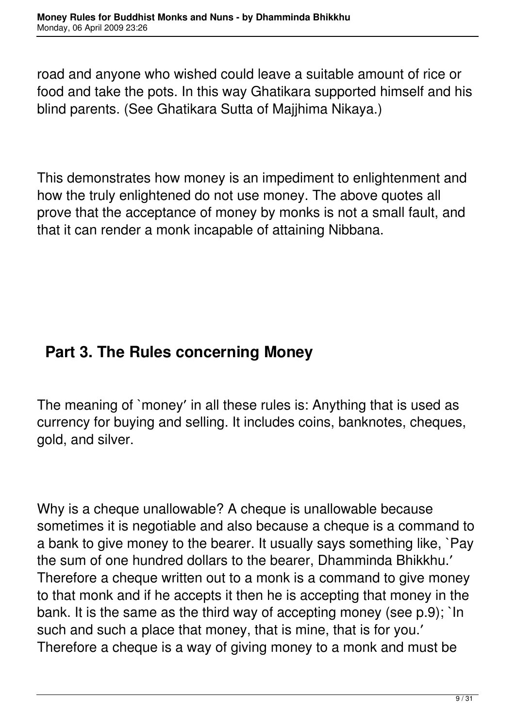road and anyone who wished could leave a suitable amount of rice or food and take the pots. In this way Ghatikara supported himself and his blind parents. (See Ghatikara Sutta of Majjhima Nikaya.)

This demonstrates how money is an impediment to enlightenment and how the truly enlightened do not use money. The above quotes all prove that the acceptance of money by monks is not a small fault, and that it can render a monk incapable of attaining Nibbana.

# **Part 3. The Rules concerning Money**

The meaning of `money′ in all these rules is: Anything that is used as currency for buying and selling. It includes coins, banknotes, cheques, gold, and silver.

Why is a cheque unallowable? A cheque is unallowable because sometimes it is negotiable and also because a cheque is a command to a bank to give money to the bearer. It usually says something like, `Pay the sum of one hundred dollars to the bearer, Dhamminda Bhikkhu.′ Therefore a cheque written out to a monk is a command to give money to that monk and if he accepts it then he is accepting that money in the bank. It is the same as the third way of accepting money (see p.9); `In such and such a place that money, that is mine, that is for you.′ Therefore a cheque is a way of giving money to a monk and must be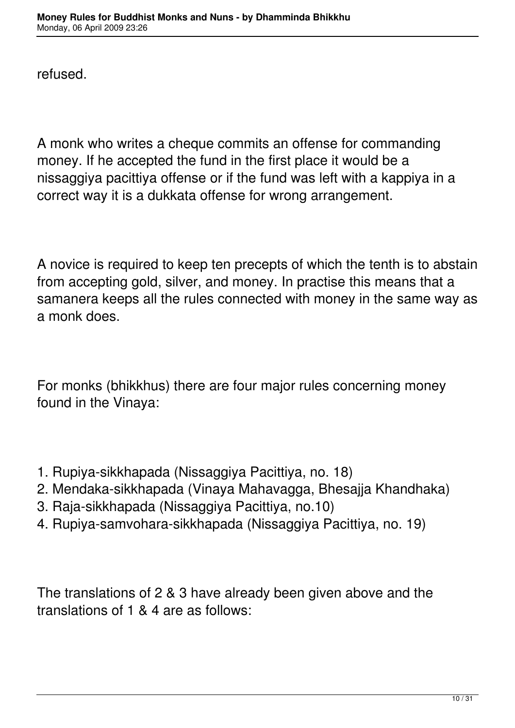refused.

A monk who writes a cheque commits an offense for commanding money. If he accepted the fund in the first place it would be a nissaggiya pacittiya offense or if the fund was left with a kappiya in a correct way it is a dukkata offense for wrong arrangement.

A novice is required to keep ten precepts of which the tenth is to abstain from accepting gold, silver, and money. In practise this means that a samanera keeps all the rules connected with money in the same way as a monk does.

For monks (bhikkhus) there are four major rules concerning money found in the Vinaya:

- 1. Rupiya-sikkhapada (Nissaggiya Pacittiya, no. 18)
- 2. Mendaka-sikkhapada (Vinaya Mahavagga, Bhesajja Khandhaka)
- 3. Raja-sikkhapada (Nissaggiya Pacittiya, no.10)
- 4. Rupiya-samvohara-sikkhapada (Nissaggiya Pacittiya, no. 19)

The translations of 2 & 3 have already been given above and the translations of 1 & 4 are as follows: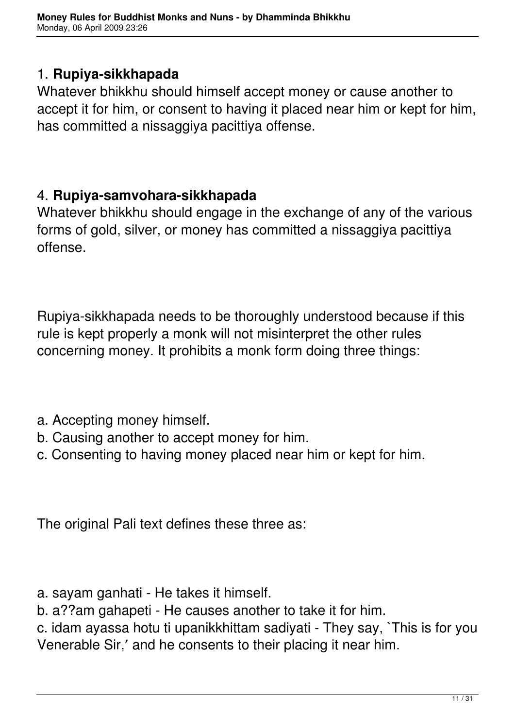#### 1. **Rupiya-sikkhapada**

Whatever bhikkhu should himself accept money or cause another to accept it for him, or consent to having it placed near him or kept for him, has committed a nissaggiya pacittiya offense.

#### 4. **Rupiya-samvohara-sikkhapada**

Whatever bhikkhu should engage in the exchange of any of the various forms of gold, silver, or money has committed a nissaggiya pacittiya offense.

Rupiya-sikkhapada needs to be thoroughly understood because if this rule is kept properly a monk will not misinterpret the other rules concerning money. It prohibits a monk form doing three things:

- a. Accepting money himself.
- b. Causing another to accept money for him.
- c. Consenting to having money placed near him or kept for him.

The original Pali text defines these three as:

- a. sayam ganhati He takes it himself.
- b. a??am gahapeti He causes another to take it for him.

c. idam ayassa hotu ti upanikkhittam sadiyati - They say, `This is for you Venerable Sir,′ and he consents to their placing it near him.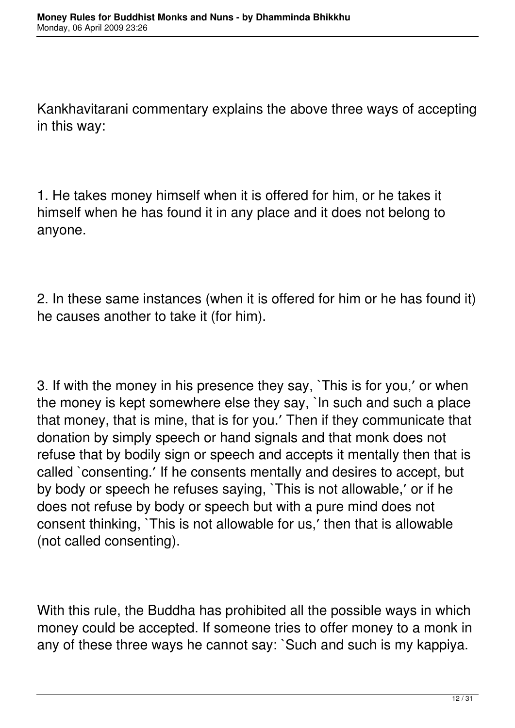Kankhavitarani commentary explains the above three ways of accepting in this way:

1. He takes money himself when it is offered for him, or he takes it himself when he has found it in any place and it does not belong to anyone.

2. In these same instances (when it is offered for him or he has found it) he causes another to take it (for him).

3. If with the money in his presence they say, `This is for you,′ or when the money is kept somewhere else they say, `In such and such a place that money, that is mine, that is for you.′ Then if they communicate that donation by simply speech or hand signals and that monk does not refuse that by bodily sign or speech and accepts it mentally then that is called `consenting.′ If he consents mentally and desires to accept, but by body or speech he refuses saying, `This is not allowable,′ or if he does not refuse by body or speech but with a pure mind does not consent thinking, `This is not allowable for us,′ then that is allowable (not called consenting).

With this rule, the Buddha has prohibited all the possible ways in which money could be accepted. If someone tries to offer money to a monk in any of these three ways he cannot say: `Such and such is my kappiya.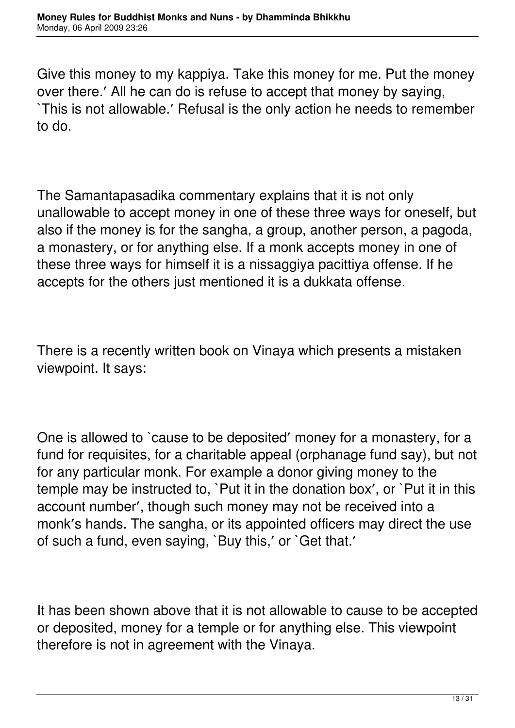Give this money to my kappiya. Take this money for me. Put the money over there.′ All he can do is refuse to accept that money by saying, `This is not allowable.′ Refusal is the only action he needs to remember to do.

The Samantapasadika commentary explains that it is not only unallowable to accept money in one of these three ways for oneself, but also if the money is for the sangha, a group, another person, a pagoda, a monastery, or for anything else. If a monk accepts money in one of these three ways for himself it is a nissaggiya pacittiya offense. If he accepts for the others just mentioned it is a dukkata offense.

There is a recently written book on Vinaya which presents a mistaken viewpoint. It says:

One is allowed to `cause to be deposited′ money for a monastery, for a fund for requisites, for a charitable appeal (orphanage fund say), but not for any particular monk. For example a donor giving money to the temple may be instructed to, `Put it in the donation box′, or `Put it in this account number′, though such money may not be received into a monk′s hands. The sangha, or its appointed officers may direct the use of such a fund, even saying, `Buy this,′ or `Get that.′

It has been shown above that it is not allowable to cause to be accepted or deposited, money for a temple or for anything else. This viewpoint therefore is not in agreement with the Vinaya.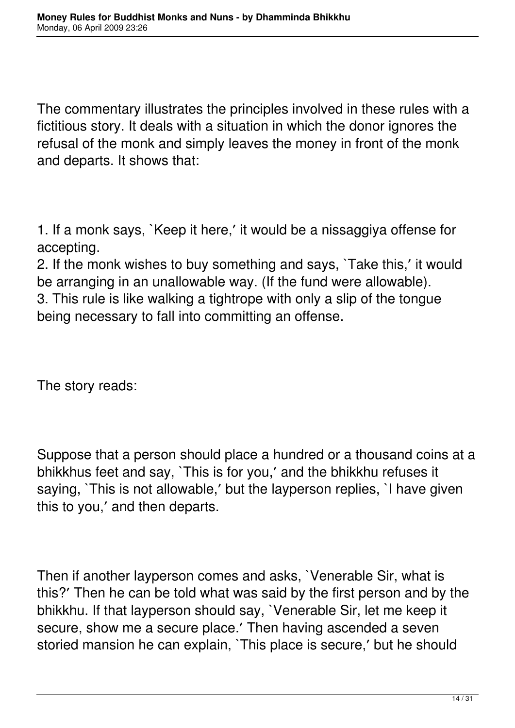The commentary illustrates the principles involved in these rules with a fictitious story. It deals with a situation in which the donor ignores the refusal of the monk and simply leaves the money in front of the monk and departs. It shows that:

1. If a monk says, `Keep it here,′ it would be a nissaggiya offense for accepting.

2. If the monk wishes to buy something and says, `Take this,′ it would be arranging in an unallowable way. (If the fund were allowable). 3. This rule is like walking a tightrope with only a slip of the tongue being necessary to fall into committing an offense.

The story reads:

Suppose that a person should place a hundred or a thousand coins at a bhikkhus feet and say, `This is for you,′ and the bhikkhu refuses it saying, `This is not allowable,′ but the layperson replies, `I have given this to you,′ and then departs.

Then if another layperson comes and asks, `Venerable Sir, what is this?′ Then he can be told what was said by the first person and by the bhikkhu. If that layperson should say, `Venerable Sir, let me keep it secure, show me a secure place.′ Then having ascended a seven storied mansion he can explain, `This place is secure,′ but he should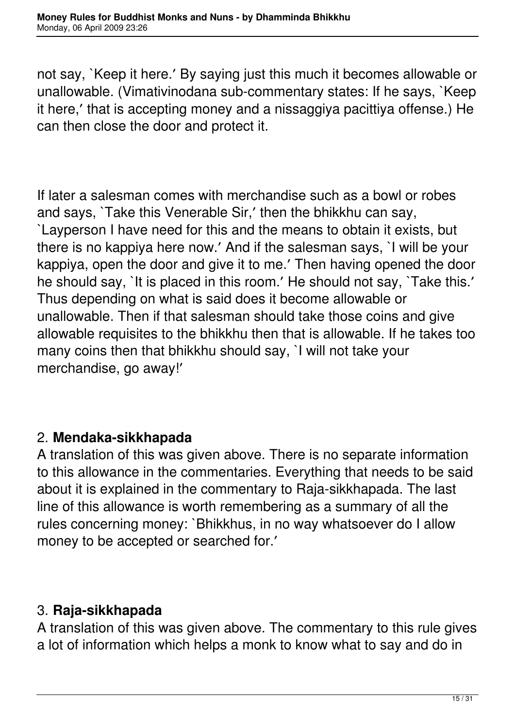not say, `Keep it here.′ By saying just this much it becomes allowable or unallowable. (Vimativinodana sub-commentary states: If he says, `Keep it here,′ that is accepting money and a nissaggiya pacittiya offense.) He can then close the door and protect it.

If later a salesman comes with merchandise such as a bowl or robes and says, `Take this Venerable Sir,′ then the bhikkhu can say, `Layperson I have need for this and the means to obtain it exists, but there is no kappiya here now.′ And if the salesman says, `I will be your kappiya, open the door and give it to me.′ Then having opened the door he should say, `It is placed in this room.' He should not say, `Take this.' Thus depending on what is said does it become allowable or unallowable. Then if that salesman should take those coins and give allowable requisites to the bhikkhu then that is allowable. If he takes too many coins then that bhikkhu should say, `I will not take your merchandise, go away!′

### 2. **Mendaka-sikkhapada**

A translation of this was given above. There is no separate information to this allowance in the commentaries. Everything that needs to be said about it is explained in the commentary to Raja-sikkhapada. The last line of this allowance is worth remembering as a summary of all the rules concerning money: `Bhikkhus, in no way whatsoever do I allow money to be accepted or searched for.′

#### 3. **Raja-sikkhapada**

A translation of this was given above. The commentary to this rule gives a lot of information which helps a monk to know what to say and do in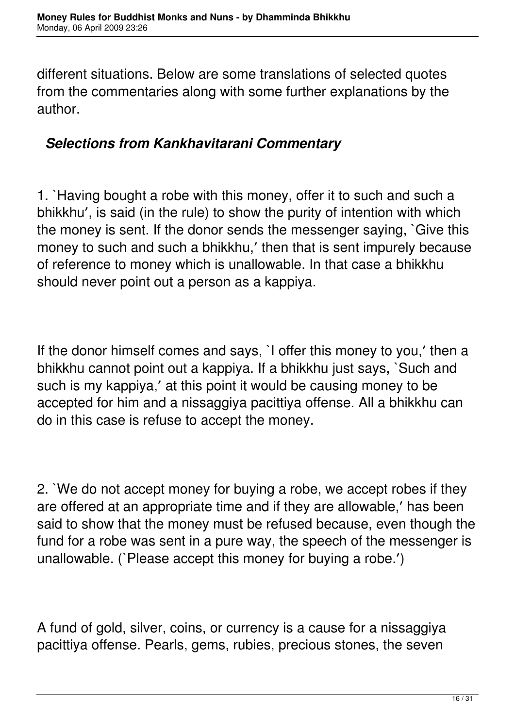different situations. Below are some translations of selected quotes from the commentaries along with some further explanations by the author.

#### *Selections from Kankhavitarani Commentary*

1. `Having bought a robe with this money, offer it to such and such a bhikkhu′, is said (in the rule) to show the purity of intention with which the money is sent. If the donor sends the messenger saying, `Give this money to such and such a bhikkhu,′ then that is sent impurely because of reference to money which is unallowable. In that case a bhikkhu should never point out a person as a kappiya.

If the donor himself comes and says, `I offer this money to you,′ then a bhikkhu cannot point out a kappiya. If a bhikkhu just says, `Such and such is my kappiya,′ at this point it would be causing money to be accepted for him and a nissaggiya pacittiya offense. All a bhikkhu can do in this case is refuse to accept the money.

2. `We do not accept money for buying a robe, we accept robes if they are offered at an appropriate time and if they are allowable,′ has been said to show that the money must be refused because, even though the fund for a robe was sent in a pure way, the speech of the messenger is unallowable. (`Please accept this money for buying a robe.′)

A fund of gold, silver, coins, or currency is a cause for a nissaggiya pacittiya offense. Pearls, gems, rubies, precious stones, the seven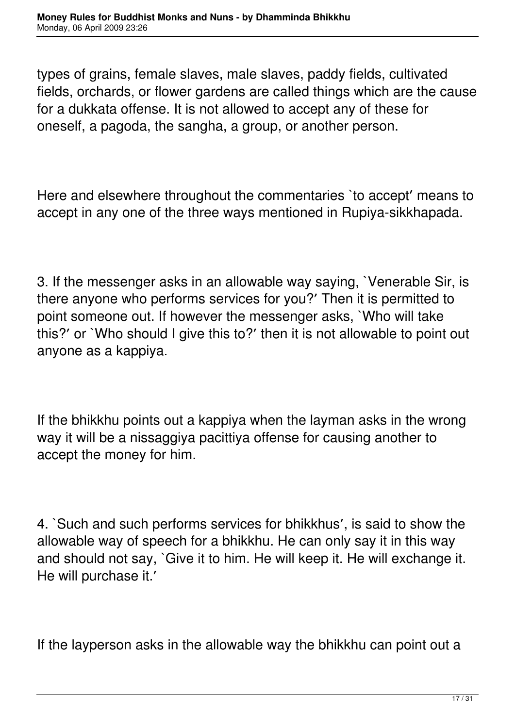types of grains, female slaves, male slaves, paddy fields, cultivated fields, orchards, or flower gardens are called things which are the cause for a dukkata offense. It is not allowed to accept any of these for oneself, a pagoda, the sangha, a group, or another person.

Here and elsewhere throughout the commentaries `to accept′ means to accept in any one of the three ways mentioned in Rupiya-sikkhapada.

3. If the messenger asks in an allowable way saying, `Venerable Sir, is there anyone who performs services for you?′ Then it is permitted to point someone out. If however the messenger asks, `Who will take this?′ or `Who should I give this to?′ then it is not allowable to point out anyone as a kappiya.

If the bhikkhu points out a kappiya when the layman asks in the wrong way it will be a nissaggiya pacittiya offense for causing another to accept the money for him.

4. `Such and such performs services for bhikkhus′, is said to show the allowable way of speech for a bhikkhu. He can only say it in this way and should not say, `Give it to him. He will keep it. He will exchange it. He will purchase it.′

If the layperson asks in the allowable way the bhikkhu can point out a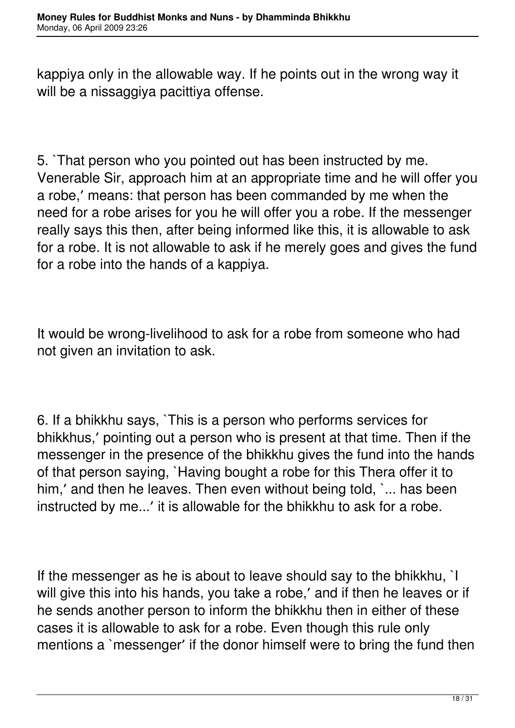kappiya only in the allowable way. If he points out in the wrong way it will be a nissaggiya pacittiya offense.

5. `That person who you pointed out has been instructed by me. Venerable Sir, approach him at an appropriate time and he will offer you a robe,′ means: that person has been commanded by me when the need for a robe arises for you he will offer you a robe. If the messenger really says this then, after being informed like this, it is allowable to ask for a robe. It is not allowable to ask if he merely goes and gives the fund for a robe into the hands of a kappiya.

It would be wrong-livelihood to ask for a robe from someone who had not given an invitation to ask.

6. If a bhikkhu says, `This is a person who performs services for bhikkhus,′ pointing out a person who is present at that time. Then if the messenger in the presence of the bhikkhu gives the fund into the hands of that person saying, `Having bought a robe for this Thera offer it to him,' and then he leaves. Then even without being told, `... has been instructed by me...′ it is allowable for the bhikkhu to ask for a robe.

If the messenger as he is about to leave should say to the bhikkhu, `I will give this into his hands, you take a robe,' and if then he leaves or if he sends another person to inform the bhikkhu then in either of these cases it is allowable to ask for a robe. Even though this rule only mentions a `messenger′ if the donor himself were to bring the fund then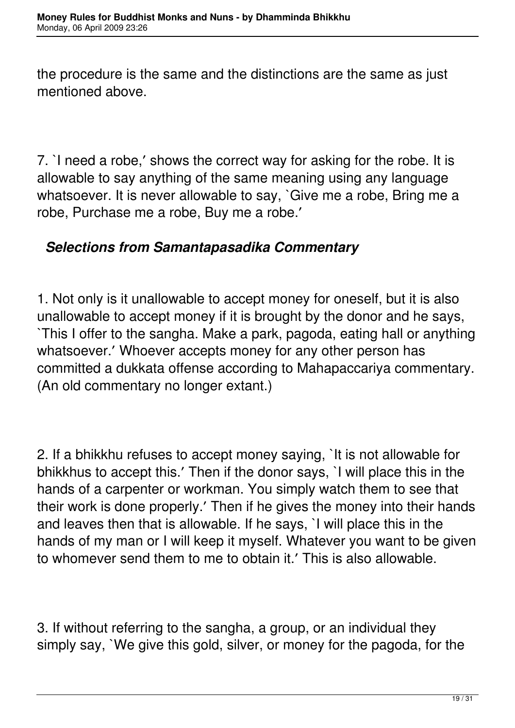the procedure is the same and the distinctions are the same as just mentioned above.

7. `I need a robe,′ shows the correct way for asking for the robe. It is allowable to say anything of the same meaning using any language whatsoever. It is never allowable to say, `Give me a robe, Bring me a robe, Purchase me a robe, Buy me a robe.′

### *Selections from Samantapasadika Commentary*

1. Not only is it unallowable to accept money for oneself, but it is also unallowable to accept money if it is brought by the donor and he says, `This I offer to the sangha. Make a park, pagoda, eating hall or anything whatsoever.′ Whoever accepts money for any other person has committed a dukkata offense according to Mahapaccariya commentary. (An old commentary no longer extant.)

2. If a bhikkhu refuses to accept money saying, `It is not allowable for bhikkhus to accept this.′ Then if the donor says, `I will place this in the hands of a carpenter or workman. You simply watch them to see that their work is done properly.′ Then if he gives the money into their hands and leaves then that is allowable. If he says, `I will place this in the hands of my man or I will keep it myself. Whatever you want to be given to whomever send them to me to obtain it.′ This is also allowable.

3. If without referring to the sangha, a group, or an individual they simply say, `We give this gold, silver, or money for the pagoda, for the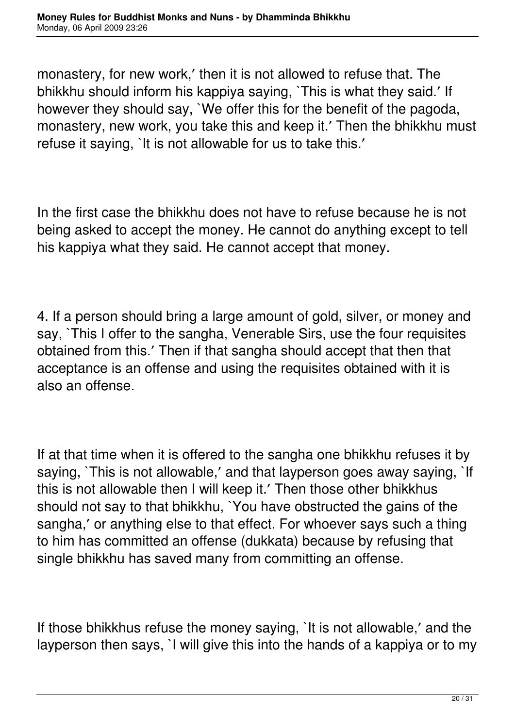monastery, for new work,′ then it is not allowed to refuse that. The bhikkhu should inform his kappiya saying, `This is what they said.′ If however they should say, `We offer this for the benefit of the pagoda, monastery, new work, you take this and keep it.′ Then the bhikkhu must refuse it saying, `It is not allowable for us to take this.′

In the first case the bhikkhu does not have to refuse because he is not being asked to accept the money. He cannot do anything except to tell his kappiya what they said. He cannot accept that money.

4. If a person should bring a large amount of gold, silver, or money and say, `This I offer to the sangha, Venerable Sirs, use the four requisites obtained from this.′ Then if that sangha should accept that then that acceptance is an offense and using the requisites obtained with it is also an offense.

If at that time when it is offered to the sangha one bhikkhu refuses it by saying, `This is not allowable,' and that layperson goes away saying, `If this is not allowable then I will keep it.′ Then those other bhikkhus should not say to that bhikkhu, `You have obstructed the gains of the sangha,′ or anything else to that effect. For whoever says such a thing to him has committed an offense (dukkata) because by refusing that single bhikkhu has saved many from committing an offense.

If those bhikkhus refuse the money saying, `It is not allowable,′ and the layperson then says, `I will give this into the hands of a kappiya or to my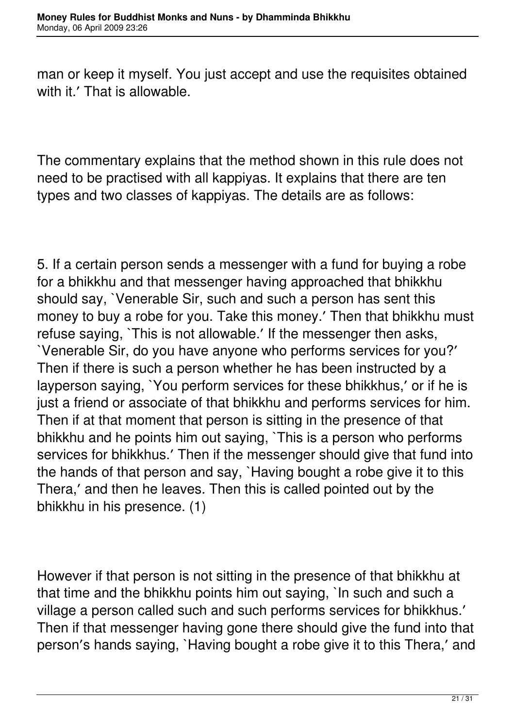man or keep it myself. You just accept and use the requisites obtained with it.' That is allowable.

The commentary explains that the method shown in this rule does not need to be practised with all kappiyas. It explains that there are ten types and two classes of kappiyas. The details are as follows:

5. If a certain person sends a messenger with a fund for buying a robe for a bhikkhu and that messenger having approached that bhikkhu should say, `Venerable Sir, such and such a person has sent this money to buy a robe for you. Take this money.′ Then that bhikkhu must refuse saying, `This is not allowable.′ If the messenger then asks, `Venerable Sir, do you have anyone who performs services for you?′ Then if there is such a person whether he has been instructed by a layperson saying, `You perform services for these bhikkhus,′ or if he is just a friend or associate of that bhikkhu and performs services for him. Then if at that moment that person is sitting in the presence of that bhikkhu and he points him out saying, `This is a person who performs services for bhikkhus.′ Then if the messenger should give that fund into the hands of that person and say, `Having bought a robe give it to this Thera,′ and then he leaves. Then this is called pointed out by the bhikkhu in his presence. (1)

However if that person is not sitting in the presence of that bhikkhu at that time and the bhikkhu points him out saying, `In such and such a village a person called such and such performs services for bhikkhus.′ Then if that messenger having gone there should give the fund into that person′s hands saying, `Having bought a robe give it to this Thera,′ and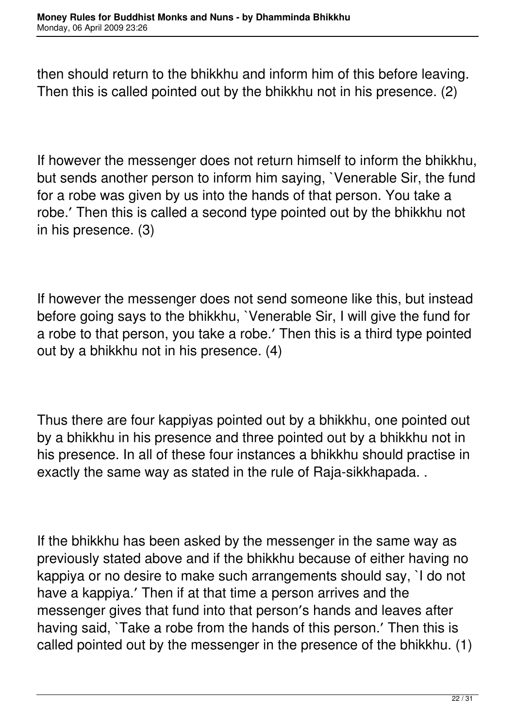then should return to the bhikkhu and inform him of this before leaving. Then this is called pointed out by the bhikkhu not in his presence. (2)

If however the messenger does not return himself to inform the bhikkhu, but sends another person to inform him saying, `Venerable Sir, the fund for a robe was given by us into the hands of that person. You take a robe.′ Then this is called a second type pointed out by the bhikkhu not in his presence. (3)

If however the messenger does not send someone like this, but instead before going says to the bhikkhu, `Venerable Sir, I will give the fund for a robe to that person, you take a robe.′ Then this is a third type pointed out by a bhikkhu not in his presence. (4)

Thus there are four kappiyas pointed out by a bhikkhu, one pointed out by a bhikkhu in his presence and three pointed out by a bhikkhu not in his presence. In all of these four instances a bhikkhu should practise in exactly the same way as stated in the rule of Raja-sikkhapada. .

If the bhikkhu has been asked by the messenger in the same way as previously stated above and if the bhikkhu because of either having no kappiya or no desire to make such arrangements should say, `I do not have a kappiya.′ Then if at that time a person arrives and the messenger gives that fund into that person′s hands and leaves after having said, `Take a robe from the hands of this person.′ Then this is called pointed out by the messenger in the presence of the bhikkhu. (1)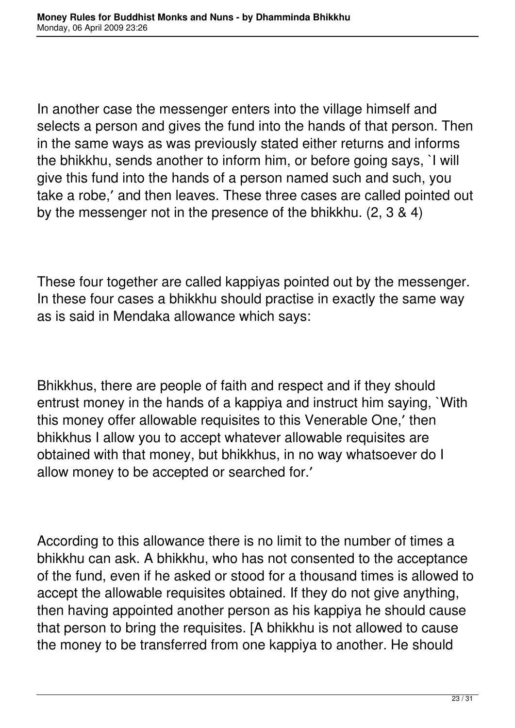In another case the messenger enters into the village himself and selects a person and gives the fund into the hands of that person. Then in the same ways as was previously stated either returns and informs the bhikkhu, sends another to inform him, or before going says, `I will give this fund into the hands of a person named such and such, you take a robe,′ and then leaves. These three cases are called pointed out by the messenger not in the presence of the bhikkhu. (2, 3 & 4)

These four together are called kappiyas pointed out by the messenger. In these four cases a bhikkhu should practise in exactly the same way as is said in Mendaka allowance which says:

Bhikkhus, there are people of faith and respect and if they should entrust money in the hands of a kappiya and instruct him saying, `With this money offer allowable requisites to this Venerable One,′ then bhikkhus I allow you to accept whatever allowable requisites are obtained with that money, but bhikkhus, in no way whatsoever do I allow money to be accepted or searched for.′

According to this allowance there is no limit to the number of times a bhikkhu can ask. A bhikkhu, who has not consented to the acceptance of the fund, even if he asked or stood for a thousand times is allowed to accept the allowable requisites obtained. If they do not give anything, then having appointed another person as his kappiya he should cause that person to bring the requisites. [A bhikkhu is not allowed to cause the money to be transferred from one kappiya to another. He should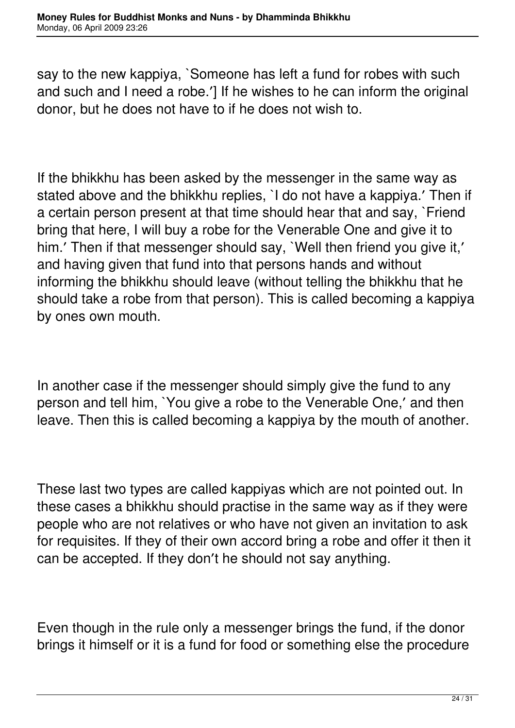say to the new kappiya, `Someone has left a fund for robes with such and such and I need a robe.′] If he wishes to he can inform the original donor, but he does not have to if he does not wish to.

If the bhikkhu has been asked by the messenger in the same way as stated above and the bhikkhu replies, `I do not have a kappiya.′ Then if a certain person present at that time should hear that and say, `Friend bring that here, I will buy a robe for the Venerable One and give it to him.' Then if that messenger should say, `Well then friend you give it,' and having given that fund into that persons hands and without informing the bhikkhu should leave (without telling the bhikkhu that he should take a robe from that person). This is called becoming a kappiya by ones own mouth.

In another case if the messenger should simply give the fund to any person and tell him, `You give a robe to the Venerable One,′ and then leave. Then this is called becoming a kappiya by the mouth of another.

These last two types are called kappiyas which are not pointed out. In these cases a bhikkhu should practise in the same way as if they were people who are not relatives or who have not given an invitation to ask for requisites. If they of their own accord bring a robe and offer it then it can be accepted. If they don′t he should not say anything.

Even though in the rule only a messenger brings the fund, if the donor brings it himself or it is a fund for food or something else the procedure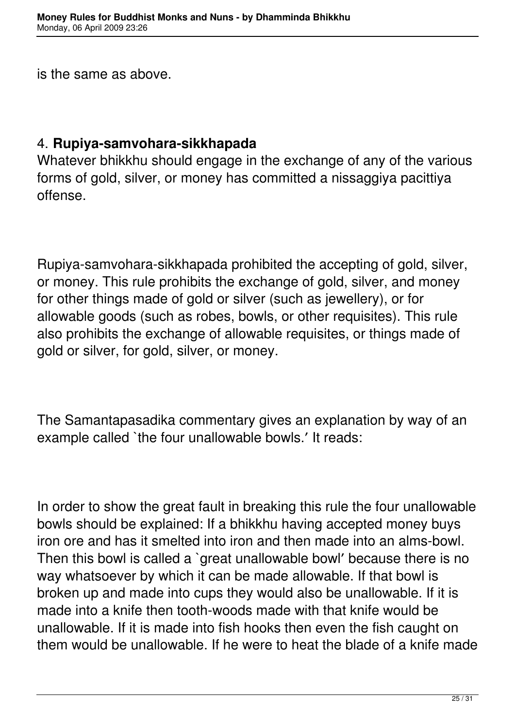is the same as above.

#### 4. **Rupiya-samvohara-sikkhapada**

Whatever bhikkhu should engage in the exchange of any of the various forms of gold, silver, or money has committed a nissaggiya pacittiya offense.

Rupiya-samvohara-sikkhapada prohibited the accepting of gold, silver, or money. This rule prohibits the exchange of gold, silver, and money for other things made of gold or silver (such as jewellery), or for allowable goods (such as robes, bowls, or other requisites). This rule also prohibits the exchange of allowable requisites, or things made of gold or silver, for gold, silver, or money.

The Samantapasadika commentary gives an explanation by way of an example called `the four unallowable bowls.′ It reads:

In order to show the great fault in breaking this rule the four unallowable bowls should be explained: If a bhikkhu having accepted money buys iron ore and has it smelted into iron and then made into an alms-bowl. Then this bowl is called a `great unallowable bowl′ because there is no way whatsoever by which it can be made allowable. If that bowl is broken up and made into cups they would also be unallowable. If it is made into a knife then tooth-woods made with that knife would be unallowable. If it is made into fish hooks then even the fish caught on them would be unallowable. If he were to heat the blade of a knife made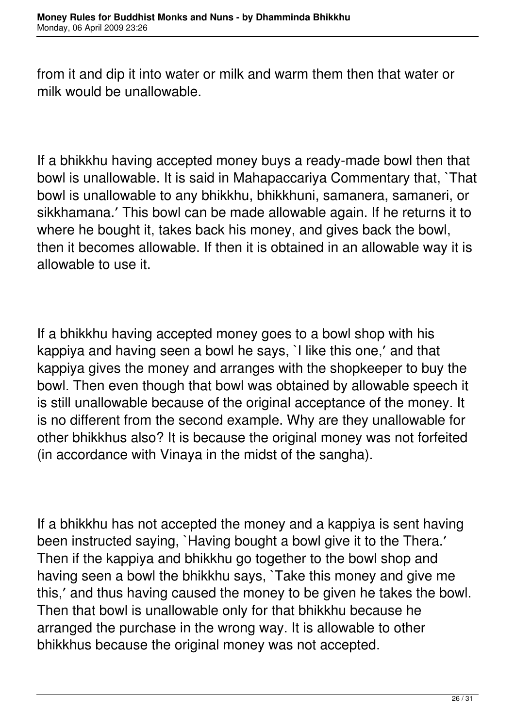from it and dip it into water or milk and warm them then that water or milk would be unallowable.

If a bhikkhu having accepted money buys a ready-made bowl then that bowl is unallowable. It is said in Mahapaccariya Commentary that, `That bowl is unallowable to any bhikkhu, bhikkhuni, samanera, samaneri, or sikkhamana.′ This bowl can be made allowable again. If he returns it to where he bought it, takes back his money, and gives back the bowl, then it becomes allowable. If then it is obtained in an allowable way it is allowable to use it.

If a bhikkhu having accepted money goes to a bowl shop with his kappiya and having seen a bowl he says, `I like this one,′ and that kappiya gives the money and arranges with the shopkeeper to buy the bowl. Then even though that bowl was obtained by allowable speech it is still unallowable because of the original acceptance of the money. It is no different from the second example. Why are they unallowable for other bhikkhus also? It is because the original money was not forfeited (in accordance with Vinaya in the midst of the sangha).

If a bhikkhu has not accepted the money and a kappiya is sent having been instructed saying, `Having bought a bowl give it to the Thera.′ Then if the kappiya and bhikkhu go together to the bowl shop and having seen a bowl the bhikkhu says, `Take this money and give me this,′ and thus having caused the money to be given he takes the bowl. Then that bowl is unallowable only for that bhikkhu because he arranged the purchase in the wrong way. It is allowable to other bhikkhus because the original money was not accepted.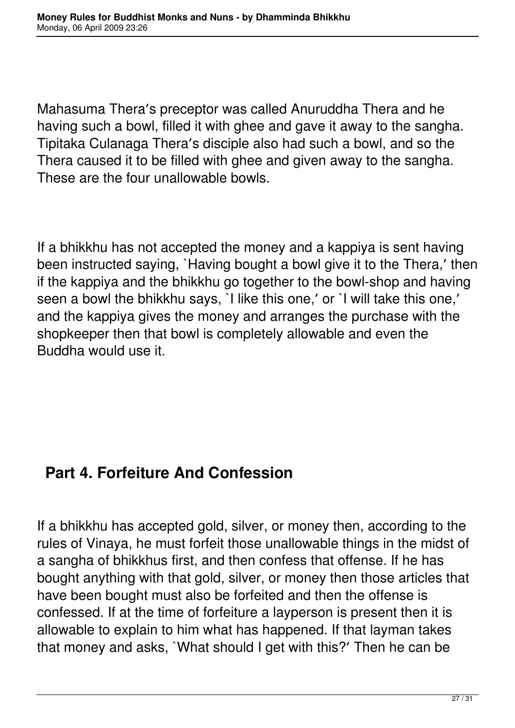Mahasuma Thera′s preceptor was called Anuruddha Thera and he having such a bowl, filled it with ghee and gave it away to the sangha. Tipitaka Culanaga Thera′s disciple also had such a bowl, and so the Thera caused it to be filled with ghee and given away to the sangha. These are the four unallowable bowls.

If a bhikkhu has not accepted the money and a kappiya is sent having been instructed saying, `Having bought a bowl give it to the Thera,′ then if the kappiya and the bhikkhu go together to the bowl-shop and having seen a bowl the bhikkhu says, `I like this one,′ or `I will take this one,′ and the kappiya gives the money and arranges the purchase with the shopkeeper then that bowl is completely allowable and even the Buddha would use it.

### **Part 4. Forfeiture And Confession**

If a bhikkhu has accepted gold, silver, or money then, according to the rules of Vinaya, he must forfeit those unallowable things in the midst of a sangha of bhikkhus first, and then confess that offense. If he has bought anything with that gold, silver, or money then those articles that have been bought must also be forfeited and then the offense is confessed. If at the time of forfeiture a layperson is present then it is allowable to explain to him what has happened. If that layman takes that money and asks, `What should I get with this?′ Then he can be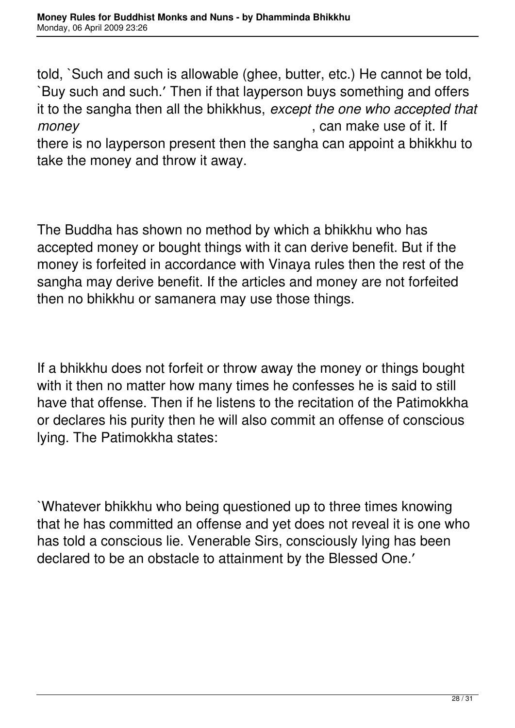told, `Such and such is allowable (ghee, butter, etc.) He cannot be told, `Buy such and such.′ Then if that layperson buys something and offers it to the sangha then all the bhikkhus, *except the one who accepted that money* , can make use of it. If there is no layperson present then the sangha can appoint a bhikkhu to take the money and throw it away.

The Buddha has shown no method by which a bhikkhu who has accepted money or bought things with it can derive benefit. But if the money is forfeited in accordance with Vinaya rules then the rest of the sangha may derive benefit. If the articles and money are not forfeited then no bhikkhu or samanera may use those things.

If a bhikkhu does not forfeit or throw away the money or things bought with it then no matter how many times he confesses he is said to still have that offense. Then if he listens to the recitation of the Patimokkha or declares his purity then he will also commit an offense of conscious lying. The Patimokkha states:

`Whatever bhikkhu who being questioned up to three times knowing that he has committed an offense and yet does not reveal it is one who has told a conscious lie. Venerable Sirs, consciously lying has been declared to be an obstacle to attainment by the Blessed One.′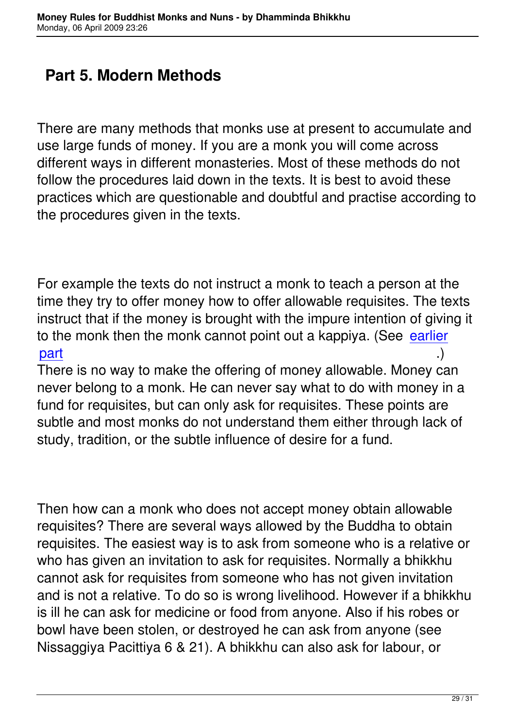## **Part 5. Modern Methods**

There are many methods that monks use at present to accumulate and use large funds of money. If you are a monk you will come across different ways in different monasteries. Most of these methods do not follow the procedures laid down in the texts. It is best to avoid these practices which are questionable and doubtful and practise according to the procedures given in the texts.

For example the texts do not instruct a monk to teach a person at the time they try to offer money how to offer allowable requisites. The texts instruct that if the money is brought with the impure intention of giving it to the monk then the monk cannot point out a kappiya. (See earlier part .) .)

There is no way to make the offering of money allowable. M[oney ca](http://www.geocities.com/venkumara/evinaya/#kappiya)n [neve](http://www.geocities.com/venkumara/evinaya/#kappiya)r belong to a monk. He can never say what to do with money in a fund for requisites, but can only ask for requisites. These points are subtle and most monks do not understand them either through lack of study, tradition, or the subtle influence of desire for a fund.

Then how can a monk who does not accept money obtain allowable requisites? There are several ways allowed by the Buddha to obtain requisites. The easiest way is to ask from someone who is a relative or who has given an invitation to ask for requisites. Normally a bhikkhu cannot ask for requisites from someone who has not given invitation and is not a relative. To do so is wrong livelihood. However if a bhikkhu is ill he can ask for medicine or food from anyone. Also if his robes or bowl have been stolen, or destroyed he can ask from anyone (see Nissaggiya Pacittiya 6 & 21). A bhikkhu can also ask for labour, or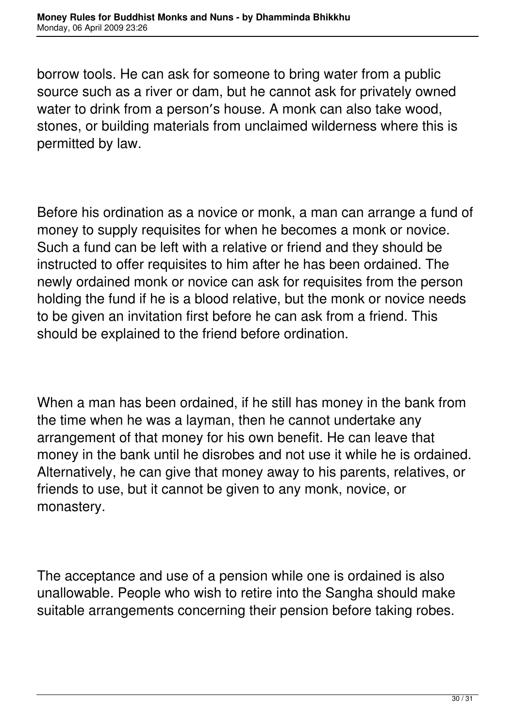borrow tools. He can ask for someone to bring water from a public source such as a river or dam, but he cannot ask for privately owned water to drink from a person′s house. A monk can also take wood, stones, or building materials from unclaimed wilderness where this is permitted by law.

Before his ordination as a novice or monk, a man can arrange a fund of money to supply requisites for when he becomes a monk or novice. Such a fund can be left with a relative or friend and they should be instructed to offer requisites to him after he has been ordained. The newly ordained monk or novice can ask for requisites from the person holding the fund if he is a blood relative, but the monk or novice needs to be given an invitation first before he can ask from a friend. This should be explained to the friend before ordination.

When a man has been ordained, if he still has money in the bank from the time when he was a layman, then he cannot undertake any arrangement of that money for his own benefit. He can leave that money in the bank until he disrobes and not use it while he is ordained. Alternatively, he can give that money away to his parents, relatives, or friends to use, but it cannot be given to any monk, novice, or monastery.

The acceptance and use of a pension while one is ordained is also unallowable. People who wish to retire into the Sangha should make suitable arrangements concerning their pension before taking robes.